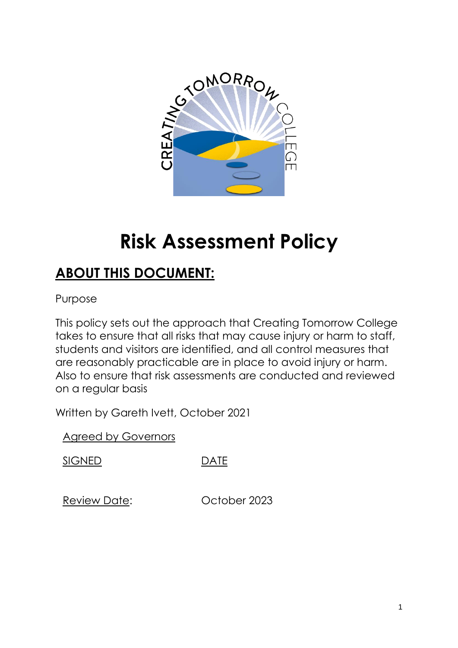

# **Risk Assessment Policy**

## **ABOUT THIS DOCUMENT:**

Purpose

This policy sets out the approach that Creating Tomorrow College takes to ensure that all risks that may cause injury or harm to staff, students and visitors are identified, and all control measures that are reasonably practicable are in place to avoid injury or harm. Also to ensure that risk assessments are conducted and reviewed on a regular basis

Written by Gareth Ivett, October 2021

Agreed by Governors

SIGNED DATE

Review Date: October 2023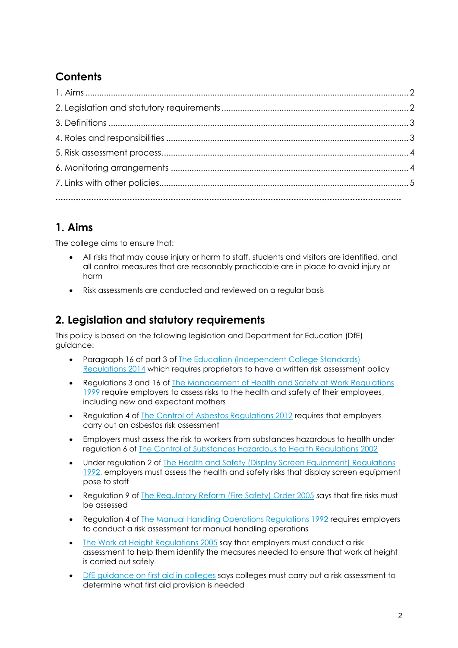## **Contents**

## **1. Aims**

The college aims to ensure that:

- All risks that may cause injury or harm to staff, students and visitors are identified, and all control measures that are reasonably practicable are in place to avoid injury or harm
- Risk assessments are conducted and reviewed on a regular basis

### **2. Legislation and statutory requirements**

This policy is based on the following legislation and Department for Education (DfE) guidance:

- Paragraph 16 of part 3 of [The Education \(Independent College](http://www.legislation.gov.uk/uksi/2014/3283/schedule/part/3/made) Standards) [Regulations 2014](http://www.legislation.gov.uk/uksi/2014/3283/schedule/part/3/made) which requires proprietors to have a written risk assessment policy
- Regulations 3 and 16 of [The Management of Health and Safety at Work Regulations](http://www.legislation.gov.uk/uksi/1999/3242/contents/made) [1999](http://www.legislation.gov.uk/uksi/1999/3242/contents/made) require employers to assess risks to the health and safety of their employees, including new and expectant mothers
- Regulation 4 of [The Control of Asbestos Regulations 2012](http://www.legislation.gov.uk/uksi/2012/632/regulation/4/made) requires that employers carry out an asbestos risk assessment
- Employers must assess the risk to workers from substances hazardous to health under regulation 6 of [The Control of Substances Hazardous to Health Regulations 2002](http://www.legislation.gov.uk/uksi/2002/2677/regulation/6/made)
- Under regulation 2 of [The Health and Safety \(Display Screen Equipment\) Regulations](http://www.legislation.gov.uk/uksi/1992/2792/regulation/2/made)  [1992,](http://www.legislation.gov.uk/uksi/1992/2792/regulation/2/made) employers must assess the health and safety risks that display screen equipment pose to staff
- Regulation 9 of [The Regulatory Reform \(Fire Safety\) Order 2005](http://www.legislation.gov.uk/uksi/2005/1541/article/9/made) says that fire risks must be assessed
- Regulation 4 of [The Manual Handling Operations Regulations 1992](http://www.legislation.gov.uk/uksi/1992/2793/regulation/4/made) requires employers to conduct a risk assessment for manual handling operations
- [The Work at Height Regulations 2005](http://www.legislation.gov.uk/uksi/2005/735/regulation/6/made) say that employers must conduct a risk assessment to help them identify the measures needed to ensure that work at height is carried out safely
- [DfE guidance on first aid in colleges](https://www.gov.uk/government/uploads/system/uploads/attachment_data/file/306370/guidance_on_first_aid_for_schools.pdf) says colleges must carry out a risk assessment to determine what first aid provision is needed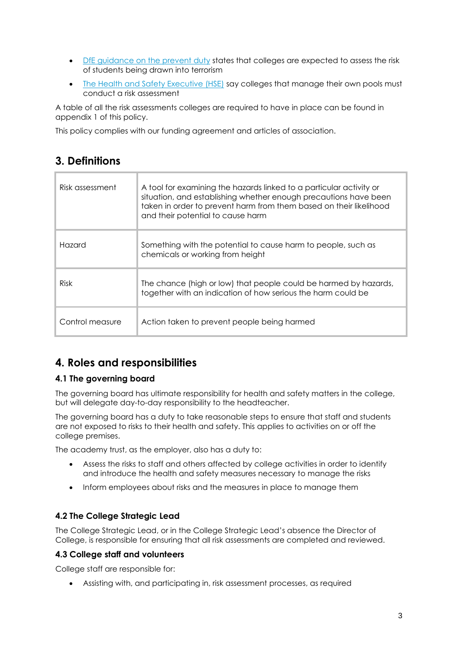- **•** [DfE guidance on the prevent duty](https://www.gov.uk/government/uploads/system/uploads/attachment_data/file/445977/3799_Revised_Prevent_Duty_Guidance__England_Wales_V2-Interactive.pdf) states that colleges are expected to assess the risk of students being drawn into terrorism
- [The Health and Safety Executive \(HSE\)](http://www.hse.gov.uk/entertainment/leisure/swimming-pool.htm) say colleges that manage their own pools must conduct a risk assessment

A table of all the risk assessments colleges are required to have in place can be found in appendix 1 of this policy.

This policy complies with our funding agreement and articles of association.

#### **3. Definitions**

| Risk assessment | A tool for examining the hazards linked to a particular activity or<br>situation, and establishing whether enough precautions have been<br>taken in order to prevent harm from them based on their likelihood<br>and their potential to cause harm |
|-----------------|----------------------------------------------------------------------------------------------------------------------------------------------------------------------------------------------------------------------------------------------------|
| Hazard          | Something with the potential to cause harm to people, such as<br>chemicals or working from height                                                                                                                                                  |
| <b>Risk</b>     | The chance (high or low) that people could be harmed by hazards,<br>together with an indication of how serious the harm could be                                                                                                                   |
| Control measure | Action taken to prevent people being harmed                                                                                                                                                                                                        |

## **4. Roles and responsibilities**

#### **4.1 The governing board**

The governing board has ultimate responsibility for health and safety matters in the college, but will delegate day-to-day responsibility to the headteacher.

The governing board has a duty to take reasonable steps to ensure that staff and students are not exposed to risks to their health and safety. This applies to activities on or off the college premises.

The academy trust, as the employer, also has a duty to:

- Assess the risks to staff and others affected by college activities in order to identify and introduce the health and safety measures necessary to manage the risks
- Inform employees about risks and the measures in place to manage them

#### **4.2 The College Strategic Lead**

The College Strategic Lead, or in the College Strategic Lead's absence the Director of College, is responsible for ensuring that all risk assessments are completed and reviewed.

#### **4.3 College staff and volunteers**

College staff are responsible for:

Assisting with, and participating in, risk assessment processes, as required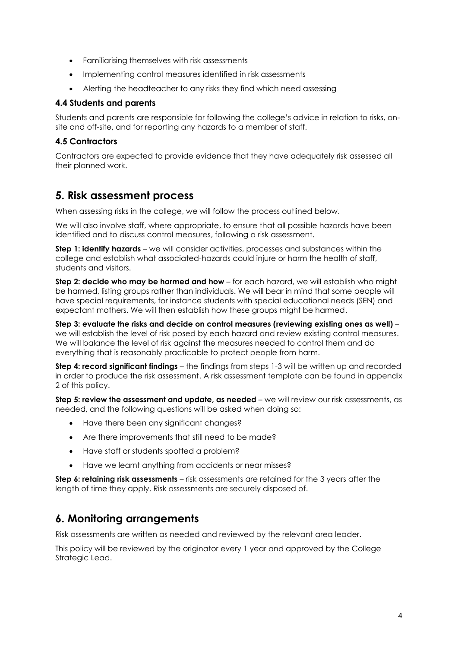- Familiarising themselves with risk assessments
- Implementing control measures identified in risk assessments
- Alerting the headteacher to any risks they find which need assessing

#### **4.4 Students and parents**

Students and parents are responsible for following the college's advice in relation to risks, onsite and off-site, and for reporting any hazards to a member of staff.

#### **4.5 Contractors**

Contractors are expected to provide evidence that they have adequately risk assessed all their planned work.

#### **5. Risk assessment process**

When assessing risks in the college, we will follow the process outlined below.

We will also involve staff, where appropriate, to ensure that all possible hazards have been identified and to discuss control measures, following a risk assessment.

**Step 1: identify hazards** – we will consider activities, processes and substances within the college and establish what associated-hazards could injure or harm the health of staff, students and visitors.

**Step 2: decide who may be harmed and how** – for each hazard, we will establish who might be harmed, listing groups rather than individuals. We will bear in mind that some people will have special requirements, for instance students with special educational needs (SEN) and expectant mothers. We will then establish how these groups might be harmed.

**Step 3: evaluate the risks and decide on control measures (reviewing existing ones as well)** – we will establish the level of risk posed by each hazard and review existing control measures. We will balance the level of risk against the measures needed to control them and do everything that is reasonably practicable to protect people from harm.

**Step 4: record significant findings** – the findings from steps 1-3 will be written up and recorded in order to produce the risk assessment. A risk assessment template can be found in appendix 2 of this policy.

**Step 5: review the assessment and update, as needed** – we will review our risk assessments, as needed, and the following questions will be asked when doing so:

- Have there been any significant changes?
- Are there improvements that still need to be made?
- Have staff or students spotted a problem?
- Have we learnt anything from accidents or near misses?

**Step 6: retaining risk assessments** – risk assessments are retained for the 3 years after the length of time they apply. Risk assessments are securely disposed of.

#### **6. Monitoring arrangements**

Risk assessments are written as needed and reviewed by the relevant area leader.

This policy will be reviewed by the originator every 1 year and approved by the College Strategic Lead.